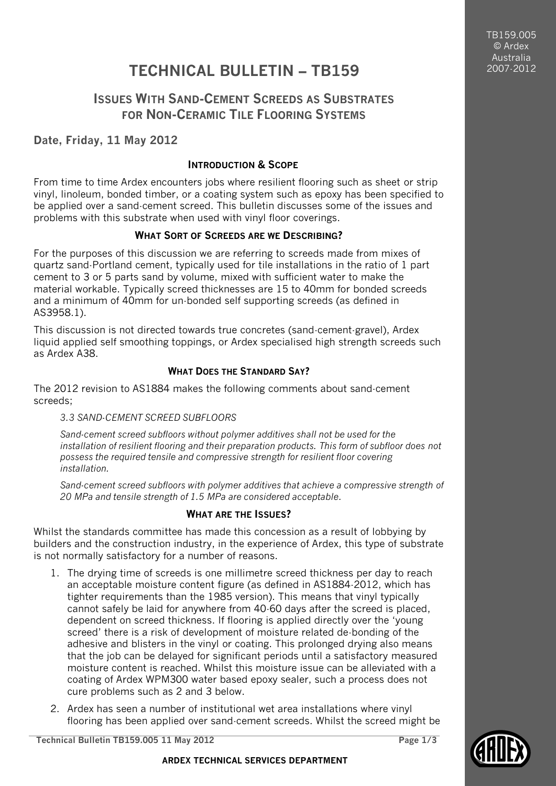TB159.005 © Ardex Australia 2007-2012

# **TECHNICAL BULLETIN – TB159**

## **ISSUES WITH SAND-CEMENT SCREEDS AS SUBSTRATES FOR NON-CERAMIC TILE FLOORING SYSTEMS**

## **Date, Friday, 11 May 2012**

#### **INTRODUCTION & SCOPE**

From time to time Ardex encounters jobs where resilient flooring such as sheet or strip vinyl, linoleum, bonded timber, or a coating system such as epoxy has been specified to be applied over a sand-cement screed. This bulletin discusses some of the issues and problems with this substrate when used with vinyl floor coverings.

### **WHAT SORT OF SCREEDS ARE WE DESCRIBING?**

For the purposes of this discussion we are referring to screeds made from mixes of quartz sand-Portland cement, typically used for tile installations in the ratio of 1 part cement to 3 or 5 parts sand by volume, mixed with sufficient water to make the material workable. Typically screed thicknesses are 15 to 40mm for bonded screeds and a minimum of 40mm for un-bonded self supporting screeds (as defined in AS3958.1).

This discussion is not directed towards true concretes (sand-cement-gravel), Ardex liquid applied self smoothing toppings, or Ardex specialised high strength screeds such as Ardex A38.

### **WHAT DOES THE STANDARD SAY?**

The 2012 revision to AS1884 makes the following comments about sand-cement screeds;

#### *3.3 SAND-CEMENT SCREED SUBFLOORS*

*Sand-cement screed subfloors without polymer additives shall not be used for the installation of resilient flooring and their preparation products. This form of subfloor does not possess the required tensile and compressive strength for resilient floor covering installation.*

*Sand-cement screed subfloors with polymer additives that achieve a compressive strength of 20 MPa and tensile strength of 1.5 MPa are considered acceptable.*

### **WHAT ARE THE ISSUES?**

Whilst the standards committee has made this concession as a result of lobbying by builders and the construction industry, in the experience of Ardex, this type of substrate is not normally satisfactory for a number of reasons.

- 1. The drying time of screeds is one millimetre screed thickness per day to reach an acceptable moisture content figure (as defined in AS1884-2012, which has tighter requirements than the 1985 version). This means that vinyl typically cannot safely be laid for anywhere from 40-60 days after the screed is placed, dependent on screed thickness. If flooring is applied directly over the 'young screed' there is a risk of development of moisture related de-bonding of the adhesive and blisters in the vinyl or coating. This prolonged drying also means that the job can be delayed for significant periods until a satisfactory measured moisture content is reached. Whilst this moisture issue can be alleviated with a coating of Ardex WPM300 water based epoxy sealer, such a process does not cure problems such as 2 and 3 below.
- 2. Ardex has seen a number of institutional wet area installations where vinyl flooring has been applied over sand-cement screeds. Whilst the screed might be

**Technical Bulletin TB159.005 11 May 2012 Page 1/3**

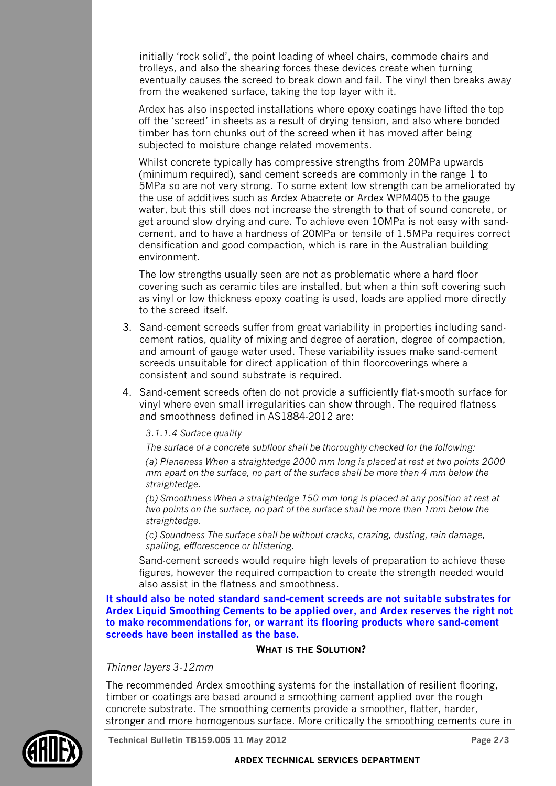initially 'rock solid', the point loading of wheel chairs, commode chairs and trolleys, and also the shearing forces these devices create when turning eventually causes the screed to break down and fail. The vinyl then breaks away from the weakened surface, taking the top layer with it.

Ardex has also inspected installations where epoxy coatings have lifted the top off the 'screed' in sheets as a result of drying tension, and also where bonded timber has torn chunks out of the screed when it has moved after being subjected to moisture change related movements.

Whilst concrete typically has compressive strengths from 20MPa upwards (minimum required), sand cement screeds are commonly in the range 1 to 5MPa so are not very strong. To some extent low strength can be ameliorated by the use of additives such as Ardex Abacrete or Ardex WPM405 to the gauge water, but this still does not increase the strength to that of sound concrete, or get around slow drying and cure. To achieve even 10MPa is not easy with sandcement, and to have a hardness of 20MPa or tensile of 1.5MPa requires correct densification and good compaction, which is rare in the Australian building environment.

The low strengths usually seen are not as problematic where a hard floor covering such as ceramic tiles are installed, but when a thin soft covering such as vinyl or low thickness epoxy coating is used, loads are applied more directly to the screed itself.

- 3. Sand-cement screeds suffer from great variability in properties including sandcement ratios, quality of mixing and degree of aeration, degree of compaction, and amount of gauge water used. These variability issues make sand-cement screeds unsuitable for direct application of thin floorcoverings where a consistent and sound substrate is required.
- 4. Sand-cement screeds often do not provide a sufficiently flat-smooth surface for vinyl where even small irregularities can show through. The required flatness and smoothness defined in AS1884-2012 are:

#### *3.1.1.4 Surface quality*

*The surface of a concrete subfloor shall be thoroughly checked for the following: (a) Planeness When a straightedge 2000 mm long is placed at rest at two points 2000 mm apart on the surface, no part of the surface shall be more than 4 mm below the straightedge.*

*(b) Smoothness When a straightedge 150 mm long is placed at any position at rest at two points on the surface, no part of the surface shall be more than 1mm below the straightedge.*

*(c) Soundness The surface shall be without cracks, crazing, dusting, rain damage, spalling, efflorescence or blistering.*

Sand-cement screeds would require high levels of preparation to achieve these figures, however the required compaction to create the strength needed would also assist in the flatness and smoothness.

**It should also be noted standard sand-cement screeds are not suitable substrates for Ardex Liquid Smoothing Cements to be applied over, and Ardex reserves the right not to make recommendations for, or warrant its flooring products where sand-cement screeds have been installed as the base.**

#### **WHAT IS THE SOLUTION?**

#### *Thinner layers 3-12mm*

The recommended Ardex smoothing systems for the installation of resilient flooring, timber or coatings are based around a smoothing cement applied over the rough concrete substrate. The smoothing cements provide a smoother, flatter, harder, stronger and more homogenous surface. More critically the smoothing cements cure in



**Technical Bulletin TB159.005 11 May 2012 Page 2/3**